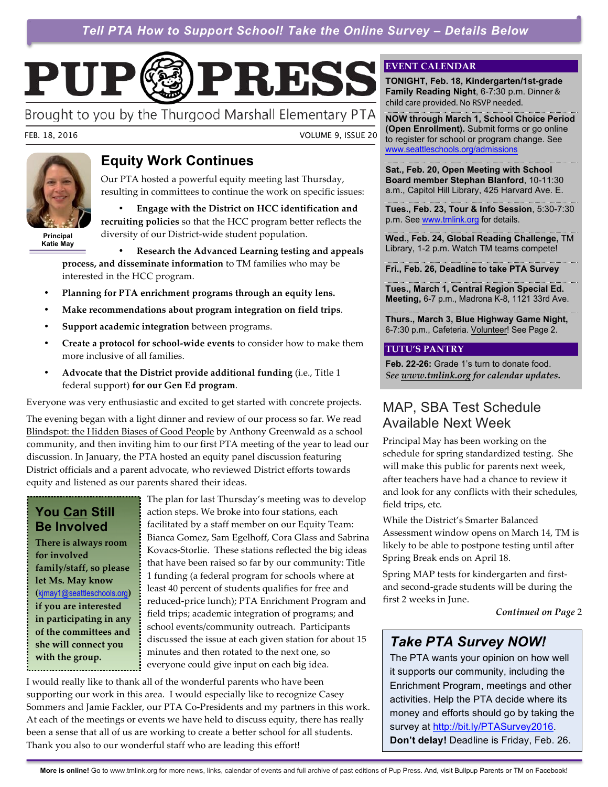*Tell PTA How to Support School! Take the Online Survey – Details Below* 

# PUP PRESS

Brought to you by the Thurgood Marshall Elementary PTA

FEB. 18, 2016 VOLUME 9, ISSUE 20



**Principal Katie May**

### **Equity Work Continues**

Our PTA hosted a powerful equity meeting last Thursday, resulting in committees to continue the work on specific issues:

• **Engage with the District on HCC identification and recruiting policies** so that the HCC program better reflects the diversity of our District-wide student population.

• **Research the Advanced Learning testing and appeals process, and disseminate information** to TM families who may be interested in the HCC program.

- **Planning for PTA enrichment programs through an equity lens.**
- **Make recommendations about program integration on field trips**.
- **Support academic integration** between programs.
- **Create a protocol for school-wide events** to consider how to make them more inclusive of all families.
- **Advocate that the District provide additional funding** (i.e., Title 1 federal support) **for our Gen Ed program**.

Everyone was very enthusiastic and excited to get started with concrete projects.

The evening began with a light dinner and review of our process so far. We read Blindspot: the Hidden Biases of Good People by Anthony Greenwald as a school community, and then inviting him to our first PTA meeting of the year to lead our discussion. In January, the PTA hosted an equity panel discussion featuring District officials and a parent advocate, who reviewed District efforts towards equity and listened as our parents shared their ideas.

#### **You Can Still Be Involved**

**There is always room for involved family/staff, so please let Ms. May know (**kjmay1@seattleschools.org**) if you are interested in participating in any of the committees and she will connect you with the group.**

The plan for last Thursday's meeting was to develop action steps. We broke into four stations, each facilitated by a staff member on our Equity Team: Bianca Gomez, Sam Egelhoff, Cora Glass and Sabrina Kovacs-Storlie. These stations reflected the big ideas that have been raised so far by our community: Title 1 funding (a federal program for schools where at least 40 percent of students qualifies for free and reduced-price lunch); PTA Enrichment Program and field trips; academic integration of programs; and school events/community outreach. Participants discussed the issue at each given station for about 15 minutes and then rotated to the next one, so everyone could give input on each big idea.

I would really like to thank all of the wonderful parents who have been supporting our work in this area. I would especially like to recognize Casey Sommers and Jamie Fackler, our PTA Co-Presidents and my partners in this work. At each of the meetings or events we have held to discuss equity, there has really been a sense that all of us are working to create a better school for all students. Thank you also to our wonderful staff who are leading this effort!

#### **EVENT CALENDAR**

**TONIGHT, Feb. 18, Kindergarten/1st-grade Family Reading Night**, 6-7:30 p.m. Dinner & child care provided. No RSVP needed.

**NOW through March 1, School Choice Period (Open Enrollment).** Submit forms or go online to register for school or program change. See www.seattleschools.org/admissions

**Sat., Feb. 20, Open Meeting with School Board member Stephan Blanford**, 10-11:30 a.m., Capitol Hill Library, 425 Harvard Ave. E.

**Tues., Feb. 23, Tour & Info Session**, 5:30-7:30 p.m. See www.tmlink.org for details.

**Wed., Feb. 24, Global Reading Challenge,** TM Library, 1-2 p.m. Watch TM teams compete!

**Fri., Feb. 26, Deadline to take PTA Survey**

**Tues., March 1, Central Region Special Ed. Meeting,** 6-7 p.m., Madrona K-8, 1121 33rd Ave.

**Thurs., March 3, Blue Highway Game Night,**  6-7:30 p.m., Cafeteria. Volunteer! See Page 2.

#### **TUTU'S PANTRY**

**Feb. 22-26:** Grade 1's turn to donate food. *See www.tmlink.org for calendar updates.*

### MAP, SBA Test Schedule Available Next Week

Principal May has been working on the schedule for spring standardized testing. She will make this public for parents next week, after teachers have had a chance to review it and look for any conflicts with their schedules, field trips, etc.

While the District's Smarter Balanced Assessment window opens on March 14, TM is likely to be able to postpone testing until after Spring Break ends on April 18.

Spring MAP tests for kindergarten and firstand second-grade students will be during the first 2 weeks in June.

*Continued on Page* 2

# *Take PTA Survey NOW!*

The PTA wants your opinion on how well it supports our community, including the Enrichment Program, meetings and other activities. Help the PTA decide where its money and efforts should go by taking the survey at http://bit.ly/PTASurvey2016. **Don't delay!** Deadline is Friday, Feb. 26.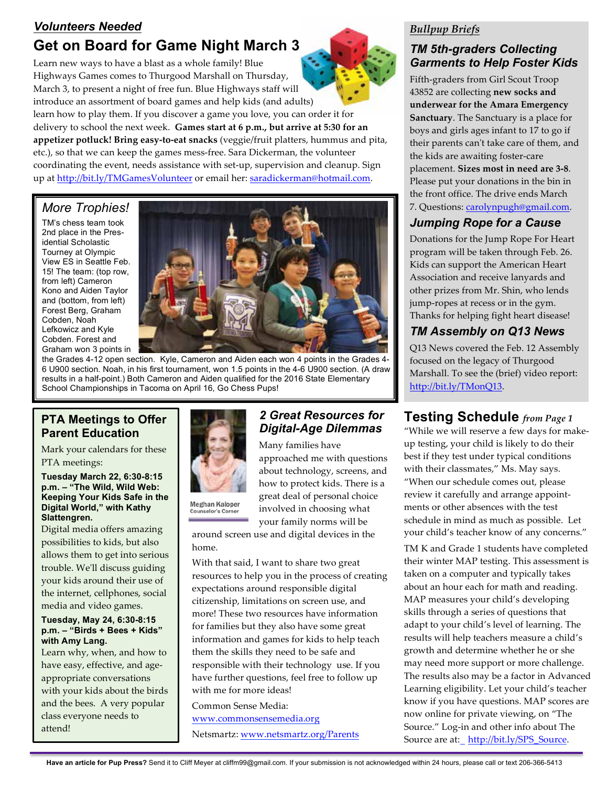# *Volunteers Needed* **Get on Board for Game Night March 3**

Learn new ways to have a blast as a whole family! Blue Highways Games comes to Thurgood Marshall on Thursday, March 3, to present a night of free fun. Blue Highways staff will introduce an assortment of board games and help kids (and adults) learn how to play them. If you discover a game you love, you can order it for delivery to school the next week. **Games start at 6 p.m., but arrive at 5:30 for an appetizer potluck! Bring easy-to-eat snacks** (veggie/fruit platters, hummus and pita, etc.), so that we can keep the games mess-free. Sara Dickerman, the volunteer coordinating the event, needs assistance with set-up, supervision and cleanup. Sign up at http://bit.ly/TMGamesVolunteer or email her: saradickerman@hotmail.com.

#### *More Trophies!*

TM's chess team took 2nd place in the Presidential Scholastic Tourney at Olympic View ES in Seattle Feb. 15! The team: (top row, from left) Cameron Kono and Aiden Taylor and (bottom, from left) Forest Berg, Graham Cobden, Noah Lefkowicz and Kyle Cobden. Forest and Graham won 3 points in



the Grades 4-12 open section. Kyle, Cameron and Aiden each won 4 points in the Grades 4- 6 U900 section. Noah, in his first tournament, won 1.5 points in the 4-6 U900 section. (A draw results in a half-point.) Both Cameron and Aiden qualified for the 2016 State Elementary School Championships in Tacoma on April 16, Go Chess Pups!

#### **PTA Meetings to Offer Parent Education**

Mark your calendars for these PTA meetings:

**Tuesday March 22, 6:30-8:15 p.m. – "The Wild, Wild Web: Keeping Your Kids Safe in the Digital World," with Kathy Slattengren.**

Digital media offers amazing possibilities to kids, but also allows them to get into serious trouble. We'll discuss guiding your kids around their use of the internet, cellphones, social media and video games.

#### **Tuesday, May 24, 6:30-8:15 p.m. – "Birds + Bees + Kids" with Amy Lang.**

Learn why, when, and how to have easy, effective, and ageappropriate conversations with your kids about the birds and the bees. A very popular class everyone needs to attend!



Meghan Kaloper **Counselor's Corner** 

#### *2 Great Resources for Digital-Age Dilemmas*

Many families have approached me with questions about technology, screens, and how to protect kids. There is a great deal of personal choice involved in choosing what your family norms will be

around screen use and digital devices in the home.

With that said, I want to share two great resources to help you in the process of creating expectations around responsible digital citizenship, limitations on screen use, and more! These two resources have information for families but they also have some great information and games for kids to help teach them the skills they need to be safe and responsible with their technology use. If you have further questions, feel free to follow up with me for more ideas!

Common Sense Media: www.commonsensemedia.org Netsmartz: www.netsmartz.org/Parents

#### *Bullpup Briefs*

### *TM 5th-graders Collecting Garments to Help Foster Kids*

Fifth-graders from Girl Scout Troop 43852 are collecting **new socks and underwear for the Amara Emergency Sanctuary**. The Sanctuary is a place for boys and girls ages infant to 17 to go if their parents can't take care of them, and the kids are awaiting foster-care placement. **Sizes most in need are 3-8**. Please put your donations in the bin in the front office. The drive ends March 7. Questions: carolynpugh@gmail.com.

### *Jumping Rope for a Cause*

Donations for the Jump Rope For Heart program will be taken through Feb. 26. Kids can support the American Heart Association and receive lanyards and other prizes from Mr. Shin, who lends jump-ropes at recess or in the gym. Thanks for helping fight heart disease!

## *TM Assembly on Q13 News*

Q13 News covered the Feb. 12 Assembly focused on the legacy of Thurgood Marshall. To see the (brief) video report: http://bit.ly/TMonQ13.

# **Testing Schedule** *from Page 1*

"While we will reserve a few days for makeup testing, your child is likely to do their best if they test under typical conditions with their classmates," Ms. May says. "When our schedule comes out, please review it carefully and arrange appointments or other absences with the test schedule in mind as much as possible. Let your child's teacher know of any concerns."

TM K and Grade 1 students have completed their winter MAP testing. This assessment is taken on a computer and typically takes about an hour each for math and reading. MAP measures your child's developing skills through a series of questions that adapt to your child's level of learning. The results will help teachers measure a child's growth and determine whether he or she may need more support or more challenge. The results also may be a factor in Advanced Learning eligibility. Let your child's teacher know if you have questions. MAP scores are now online for private viewing, on "The Source." Log-in and other info about The Source are at: http://bit.ly/SPS\_Source.